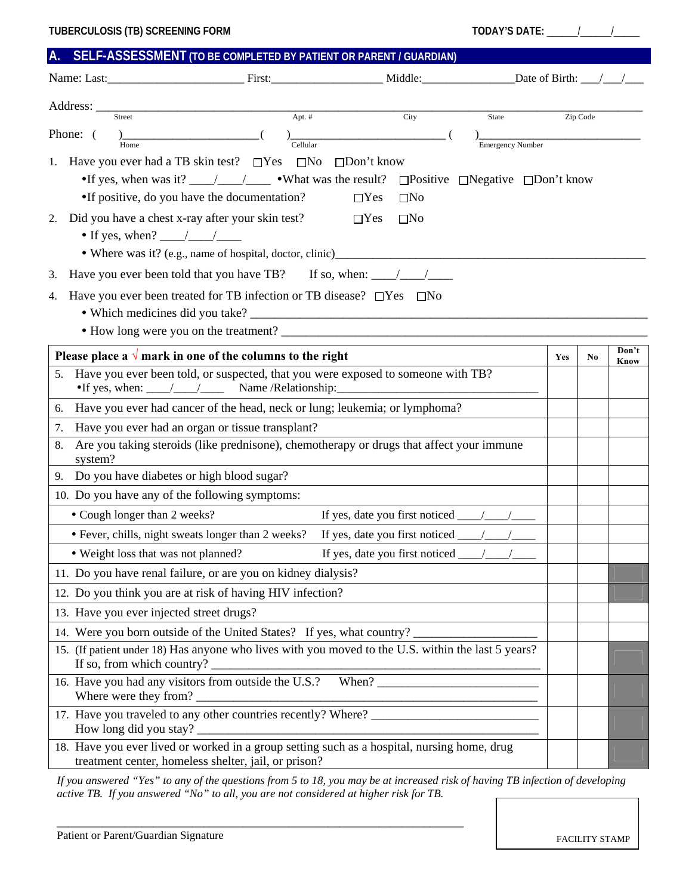|  |  | A. SELF-ASSESSMENT (TO BE COMPLETED BY PATIENT OR PARENT / GUARDIAN) |
|--|--|----------------------------------------------------------------------|
|--|--|----------------------------------------------------------------------|

|                                                                                                                                                                                                                                                                                                                                                                                                                                                                    | Address: $\overline{\phantom{a}}$                                                                                                                   |                   |              |                                                                 |     |          |               |  |  |
|--------------------------------------------------------------------------------------------------------------------------------------------------------------------------------------------------------------------------------------------------------------------------------------------------------------------------------------------------------------------------------------------------------------------------------------------------------------------|-----------------------------------------------------------------------------------------------------------------------------------------------------|-------------------|--------------|-----------------------------------------------------------------|-----|----------|---------------|--|--|
|                                                                                                                                                                                                                                                                                                                                                                                                                                                                    | Apt. #<br>Street                                                                                                                                    |                   | City         | State                                                           |     | Zip Code |               |  |  |
|                                                                                                                                                                                                                                                                                                                                                                                                                                                                    | Phone: (<br><u> 1980 - Johann John Stone, mars eta biztanleria (</u><br>Cellular<br>Home                                                            |                   |              | <b>Emergency Number</b>                                         |     |          |               |  |  |
|                                                                                                                                                                                                                                                                                                                                                                                                                                                                    | 1. Have you ever had a TB skin test? $\square$ Yes<br>$\square$ No                                                                                  | $\Box$ Don't know |              |                                                                 |     |          |               |  |  |
| •If yes, when was it? $\frac{1}{\sqrt{1-\frac{1}{\sqrt{1-\frac{1}{\sqrt{1-\frac{1}{\sqrt{1-\frac{1}{\sqrt{1-\frac{1}{\sqrt{1-\frac{1}{\sqrt{1-\frac{1}{\sqrt{1-\frac{1}{\sqrt{1-\frac{1}{\sqrt{1-\frac{1}{\sqrt{1-\frac{1}{\sqrt{1-\frac{1}{\sqrt{1-\frac{1}{\sqrt{1-\frac{1}{\sqrt{1-\frac{1}{\sqrt{1-\frac{1}{\sqrt{1-\frac{1}{\sqrt{1-\frac{1}{\sqrt{1-\frac{1}{\sqrt{1-\frac{1}{\sqrt{1-\frac{1}{\sqrt{1$<br>$\Box$ Positive $\Box$ Negative $\Box$ Don't know |                                                                                                                                                     |                   |              |                                                                 |     |          |               |  |  |
|                                                                                                                                                                                                                                                                                                                                                                                                                                                                    | •If positive, do you have the documentation?                                                                                                        | $\Box$ Yes        | $\square$ No |                                                                 |     |          |               |  |  |
| 2.                                                                                                                                                                                                                                                                                                                                                                                                                                                                 | Did you have a chest x-ray after your skin test?                                                                                                    | $\Box$ Yes        | $\square$ No |                                                                 |     |          |               |  |  |
|                                                                                                                                                                                                                                                                                                                                                                                                                                                                    | • If yes, when? $\frac{\sqrt{2}}{2}$                                                                                                                |                   |              |                                                                 |     |          |               |  |  |
|                                                                                                                                                                                                                                                                                                                                                                                                                                                                    | • Where was it? (e.g., name of hospital, doctor, clinic)                                                                                            |                   |              |                                                                 |     |          |               |  |  |
| 3.                                                                                                                                                                                                                                                                                                                                                                                                                                                                 | Have you ever been told that you have TB? If so, when: $\frac{\ }{\ }$                                                                              |                   |              |                                                                 |     |          |               |  |  |
| 4.                                                                                                                                                                                                                                                                                                                                                                                                                                                                 | Have you ever been treated for TB infection or TB disease? $\square$ Yes $\square$ No                                                               |                   |              |                                                                 |     |          |               |  |  |
|                                                                                                                                                                                                                                                                                                                                                                                                                                                                    |                                                                                                                                                     |                   |              |                                                                 |     |          |               |  |  |
|                                                                                                                                                                                                                                                                                                                                                                                                                                                                    |                                                                                                                                                     |                   |              |                                                                 |     |          |               |  |  |
|                                                                                                                                                                                                                                                                                                                                                                                                                                                                    | Please place a $\sqrt{m}$ mark in one of the columns to the right                                                                                   |                   |              |                                                                 | Yes | No.      | Don't<br>Know |  |  |
|                                                                                                                                                                                                                                                                                                                                                                                                                                                                    | 5. Have you ever been told, or suspected, that you were exposed to someone with TB?                                                                 |                   |              |                                                                 |     |          |               |  |  |
|                                                                                                                                                                                                                                                                                                                                                                                                                                                                    | •If yes, when: ___/___/_____/ Name /Relationship:                                                                                                   |                   |              |                                                                 |     |          |               |  |  |
| 6.                                                                                                                                                                                                                                                                                                                                                                                                                                                                 | Have you ever had cancer of the head, neck or lung; leukemia; or lymphoma?                                                                          |                   |              |                                                                 |     |          |               |  |  |
| 7.                                                                                                                                                                                                                                                                                                                                                                                                                                                                 | Have you ever had an organ or tissue transplant?                                                                                                    |                   |              |                                                                 |     |          |               |  |  |
| 8.                                                                                                                                                                                                                                                                                                                                                                                                                                                                 | Are you taking steroids (like prednisone), chemotherapy or drugs that affect your immune<br>system?                                                 |                   |              |                                                                 |     |          |               |  |  |
|                                                                                                                                                                                                                                                                                                                                                                                                                                                                    | 9. Do you have diabetes or high blood sugar?                                                                                                        |                   |              |                                                                 |     |          |               |  |  |
|                                                                                                                                                                                                                                                                                                                                                                                                                                                                    | 10. Do you have any of the following symptoms:                                                                                                      |                   |              |                                                                 |     |          |               |  |  |
|                                                                                                                                                                                                                                                                                                                                                                                                                                                                    | • Cough longer than 2 weeks?                                                                                                                        |                   |              | If yes, date you first noticed $\frac{\sqrt{2}}{2}$             |     |          |               |  |  |
|                                                                                                                                                                                                                                                                                                                                                                                                                                                                    | • Fever, chills, night sweats longer than 2 weeks?                                                                                                  |                   |              | If yes, date you first noticed $\frac{1}{\sqrt{1-\frac{1}{2}}}$ |     |          |               |  |  |
| If yes, date you first noticed $\frac{\sqrt{2}}{2}$<br>• Weight loss that was not planned?                                                                                                                                                                                                                                                                                                                                                                         |                                                                                                                                                     |                   |              |                                                                 |     |          |               |  |  |
| 11. Do you have renal failure, or are you on kidney dialysis?                                                                                                                                                                                                                                                                                                                                                                                                      |                                                                                                                                                     |                   |              |                                                                 |     |          |               |  |  |
| 12. Do you think you are at risk of having HIV infection?                                                                                                                                                                                                                                                                                                                                                                                                          |                                                                                                                                                     |                   |              |                                                                 |     |          |               |  |  |
|                                                                                                                                                                                                                                                                                                                                                                                                                                                                    | 13. Have you ever injected street drugs?                                                                                                            |                   |              |                                                                 |     |          |               |  |  |
| 14. Were you born outside of the United States? If yes, what country?                                                                                                                                                                                                                                                                                                                                                                                              |                                                                                                                                                     |                   |              |                                                                 |     |          |               |  |  |
| 15. (If patient under 18) Has anyone who lives with you moved to the U.S. within the last 5 years?<br>If so, from which country?                                                                                                                                                                                                                                                                                                                                   |                                                                                                                                                     |                   |              |                                                                 |     |          |               |  |  |
|                                                                                                                                                                                                                                                                                                                                                                                                                                                                    | 16. Have you had any visitors from outside the U.S.? When?<br>Where were they from?                                                                 |                   |              |                                                                 |     |          |               |  |  |
|                                                                                                                                                                                                                                                                                                                                                                                                                                                                    |                                                                                                                                                     |                   |              |                                                                 |     |          |               |  |  |
|                                                                                                                                                                                                                                                                                                                                                                                                                                                                    | 18. Have you ever lived or worked in a group setting such as a hospital, nursing home, drug<br>treatment center, homeless shelter, jail, or prison? |                   |              |                                                                 |     |          |               |  |  |

*If you answered "Yes" to any of the questions from 5 to 18, you may be at increased risk of having TB infection of developing active TB. If you answered "No" to all, you are not considered at higher risk for TB.* 

\_\_\_\_\_\_\_\_\_\_\_\_\_\_\_\_\_\_\_\_\_\_\_\_\_\_\_\_\_\_\_\_\_\_\_\_\_\_\_\_\_\_\_\_\_\_\_\_\_\_\_\_\_\_\_\_\_\_\_\_\_\_\_\_\_\_\_\_\_\_\_\_